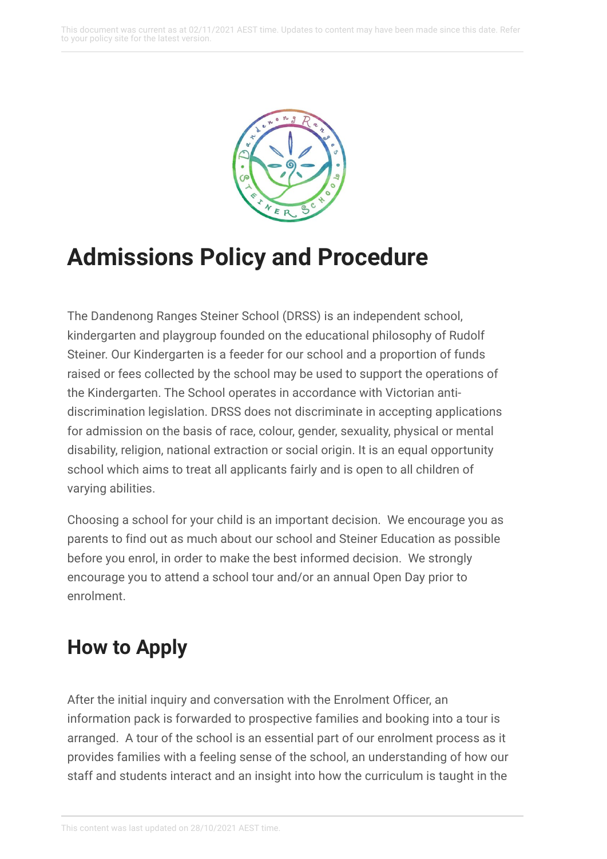

# **Admissions Policy and Procedure**

The Dandenong Ranges Steiner School (DRSS) is an independent school, kindergarten and playgroup founded on the educational philosophy of Rudolf Steiner. Our Kindergarten is a feeder for our school and a proportion of funds raised or fees collected by the school may be used to support the operations of the Kindergarten. The School operates in accordance with Victorian antidiscrimination legislation. DRSS does not discriminate in accepting applications for admission on the basis of race, colour, gender, sexuality, physical or mental disability, religion, national extraction or social origin. It is an equal opportunity school which aims to treat all applicants fairly and is open to all children of varying abilities.

Choosing a school for your child is an important decision. We encourage you as parents to find out as much about our school and Steiner Education as possible before you enrol, in order to make the best informed decision. We strongly encourage you to attend a school tour and/or an annual Open Day prior to enrolment.

## **How to Apply**

After the initial inquiry and conversation with the Enrolment Officer, an information pack is forwarded to prospective families and booking into a tour is arranged. A tour of the school is an essential part of our enrolment process as it provides families with a feeling sense of the school, an understanding of how our staff and students interact and an insight into how the curriculum is taught in the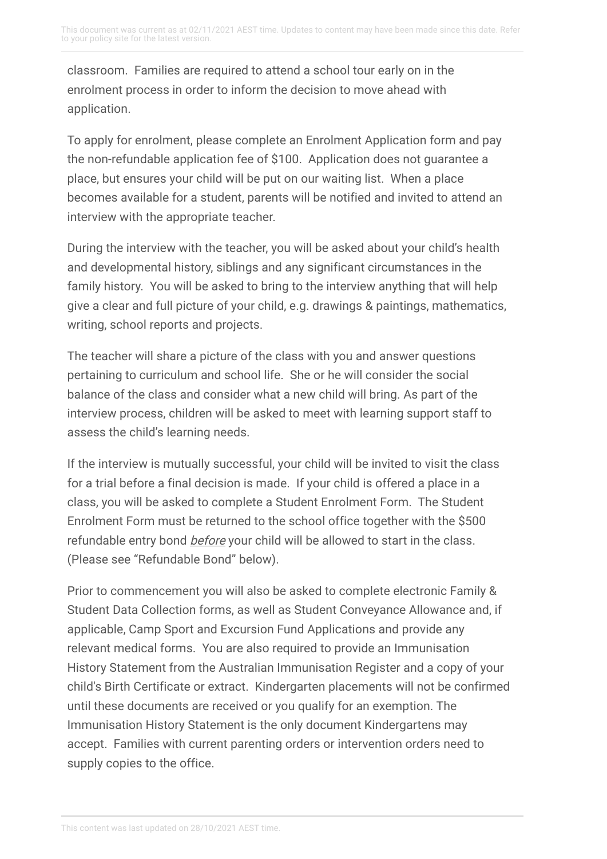classroom. Families are required to attend a school tour early on in the enrolment process in order to inform the decision to move ahead with application.

To apply for enrolment, please complete an Enrolment Application form and pay the non-refundable application fee of \$100. Application does not guarantee a place, but ensures your child will be put on our waiting list. When a place becomes available for a student, parents will be notified and invited to attend an interview with the appropriate teacher.

During the interview with the teacher, you will be asked about your child's health and developmental history, siblings and any significant circumstances in the family history. You will be asked to bring to the interview anything that will help give a clear and full picture of your child, e.g. drawings & paintings, mathematics, writing, school reports and projects.

The teacher will share a picture of the class with you and answer questions pertaining to curriculum and school life. She or he will consider the social balance of the class and consider what a new child will bring. As part of the interview process, children will be asked to meet with learning support staff to assess the child's learning needs.

If the interview is mutually successful, your child will be invited to visit the class for a trial before a final decision is made. If your child is offered a place in a class, you will be asked to complete a Student Enrolment Form. The Student Enrolment Form must be returned to the school office together with the \$500 refundable entry bond *before* your child will be allowed to start in the class. (Please see "Refundable Bond" below).

Prior to commencement you will also be asked to complete electronic Family & Student Data Collection forms, as well as Student Conveyance Allowance and, if applicable, Camp Sport and Excursion Fund Applications and provide any relevant medical forms. You are also required to provide an Immunisation History Statement from the Australian Immunisation Register and a copy of your child's Birth Certificate or extract. Kindergarten placements will not be confirmed until these documents are received or you qualify for an exemption. The Immunisation History Statement is the only document Kindergartens may accept. Families with current parenting orders or intervention orders need to supply copies to the office.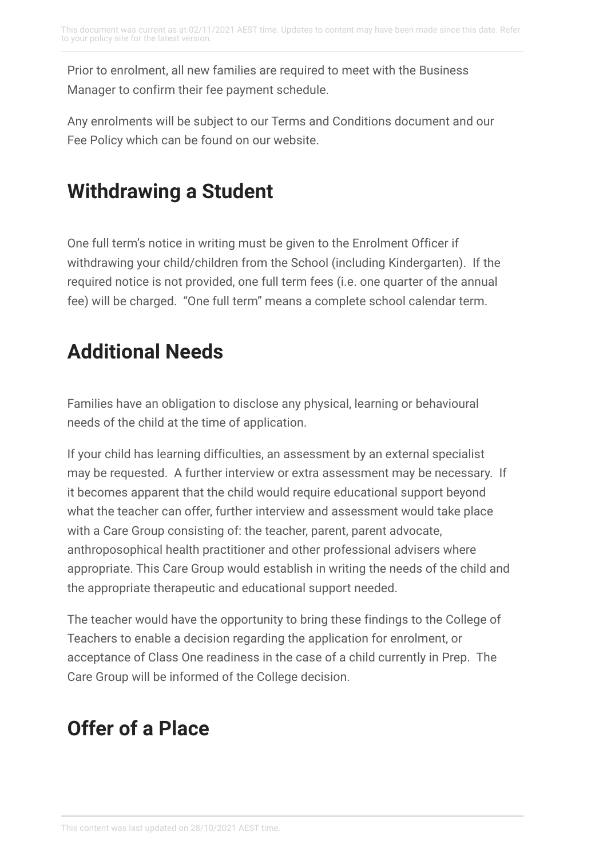Prior to enrolment, all new families are required to meet with the Business Manager to confirm their fee payment schedule.

Any enrolments will be subject to our Terms and Conditions document and our Fee Policy which can be found on our website.

## **Withdrawing a Student**

One full term's notice in writing must be given to the Enrolment Officer if withdrawing your child/children from the School (including Kindergarten). If the required notice is not provided, one full term fees (i.e. one quarter of the annual fee) will be charged. "One full term" means a complete school calendar term.

## **Additional Needs**

Families have an obligation to disclose any physical, learning or behavioural needs of the child at the time of application.

If your child has learning difficulties, an assessment by an external specialist may be requested. A further interview or extra assessment may be necessary. If it becomes apparent that the child would require educational support beyond what the teacher can offer, further interview and assessment would take place with a Care Group consisting of: the teacher, parent, parent advocate, anthroposophical health practitioner and other professional advisers where appropriate. This Care Group would establish in writing the needs of the child and the appropriate therapeutic and educational support needed.

The teacher would have the opportunity to bring these findings to the College of Teachers to enable a decision regarding the application for enrolment, or acceptance of Class One readiness in the case of a child currently in Prep. The Care Group will be informed of the College decision.

## **Offer of a Place**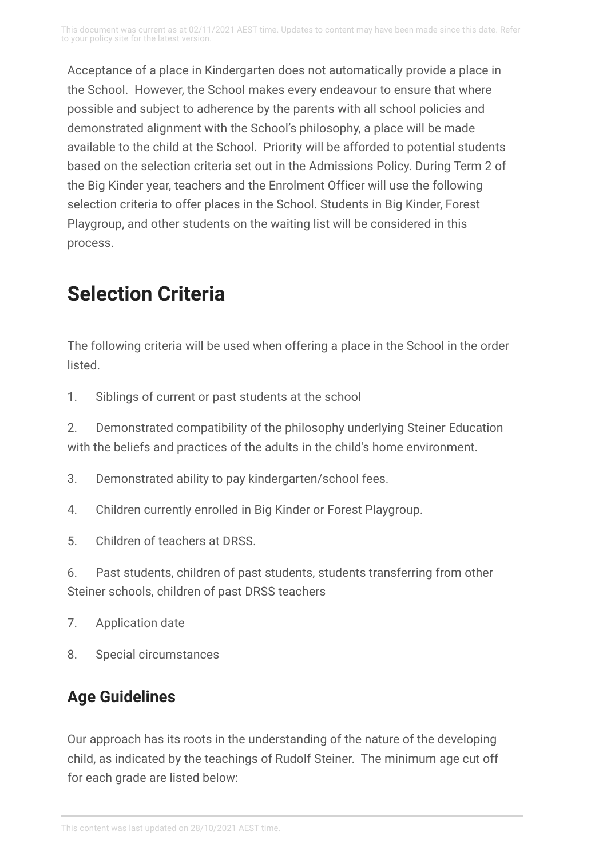Acceptance of a place in Kindergarten does not automatically provide a place in the School. However, the School makes every endeavour to ensure that where possible and subject to adherence by the parents with all school policies and demonstrated alignment with the School's philosophy, a place will be made available to the child at the School. Priority will be afforded to potential students based on the selection criteria set out in the Admissions Policy. During Term 2 of the Big Kinder year, teachers and the Enrolment Officer will use the following selection criteria to offer places in the School. Students in Big Kinder, Forest Playgroup, and other students on the waiting list will be considered in this process.

## **Selection Criteria**

The following criteria will be used when offering a place in the School in the order listed.

1. Siblings of current or past students at the school

2. Demonstrated compatibility of the philosophy underlying Steiner Education with the beliefs and practices of the adults in the child's home environment.

- 3. Demonstrated ability to pay kindergarten/school fees.
- 4. Children currently enrolled in Big Kinder or Forest Playgroup.
- 5. Children of teachers at DRSS.

6. Past students, children of past students, students transferring from other Steiner schools, children of past DRSS teachers

- 7. Application date
- 8. Special circumstances

### **Age Guidelines**

Our approach has its roots in the understanding of the nature of the developing child, as indicated by the teachings of Rudolf Steiner. The minimum age cut off for each grade are listed below: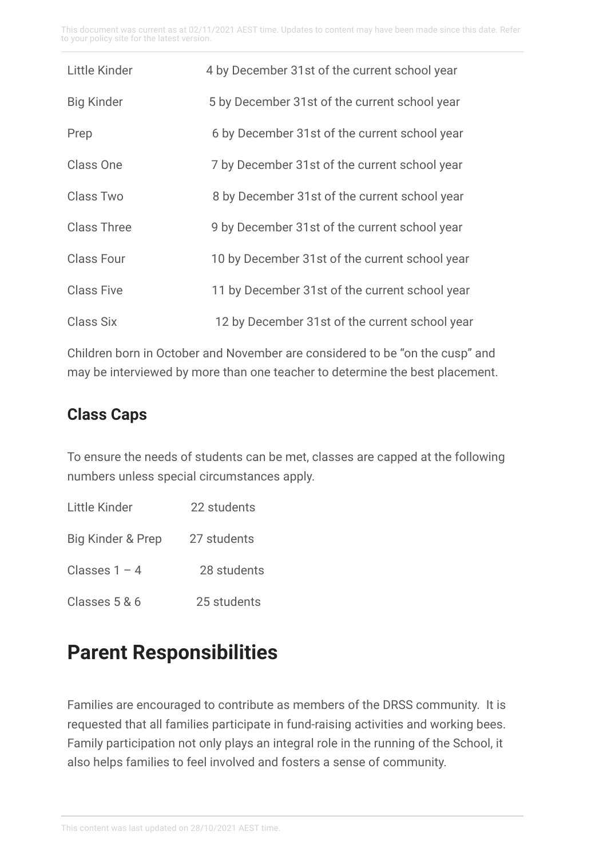This document was current as at 02/11/2021 AEST time. Updates to content may have been made since this date. Refer to your policy site for the latest version.

| Little Kinder      | 4 by December 31st of the current school year  |
|--------------------|------------------------------------------------|
| <b>Big Kinder</b>  | 5 by December 31st of the current school year  |
| Prep               | 6 by December 31st of the current school year  |
| Class One          | 7 by December 31st of the current school year  |
| Class Two          | 8 by December 31st of the current school year  |
| <b>Class Three</b> | 9 by December 31st of the current school year  |
| <b>Class Four</b>  | 10 by December 31st of the current school year |
| <b>Class Five</b>  | 11 by December 31st of the current school year |
| Class Six          | 12 by December 31st of the current school year |

Children born in October and November are considered to be "on the cusp" and may be interviewed by more than one teacher to determine the best placement.

#### **Class Caps**

To ensure the needs of students can be met, classes are capped at the following numbers unless special circumstances apply.

| Little Kinder     | 22 students |
|-------------------|-------------|
| Big Kinder & Prep | 27 students |
| Classes $1 - 4$   | 28 students |
| Classes 5 & 6     | 25 students |

### **Parent Responsibilities**

Families are encouraged to contribute as members of the DRSS community. It is requested that all families participate in fund-raising activities and working bees. Family participation not only plays an integral role in the running of the School, it also helps families to feel involved and fosters a sense of community.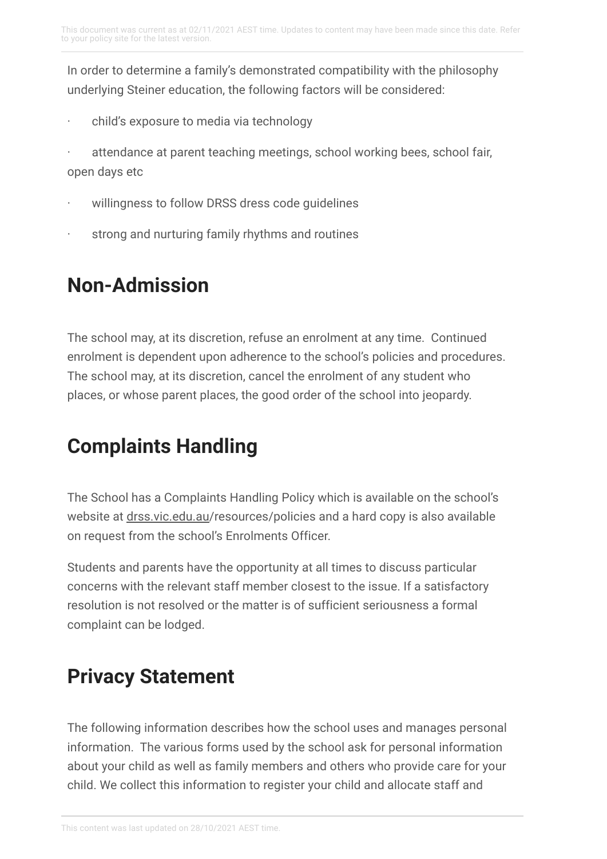In order to determine a family's demonstrated compatibility with the philosophy underlying Steiner education, the following factors will be considered:

child's exposure to media via technology

attendance at parent teaching meetings, school working bees, school fair, open days etc

- willingness to follow DRSS dress code guidelines
- strong and nurturing family rhythms and routines

## **Non-Admission**

The school may, at its discretion, refuse an enrolment at any time. Continued enrolment is dependent upon adherence to the school's policies and procedures. The school may, at its discretion, cancel the enrolment of any student who places, or whose parent places, the good order of the school into jeopardy.

## **Complaints Handling**

The School has a Complaints Handling Policy which is available on the school's website at [drss.vic.edu.au/](http://www.drss.vic.edu.au/)resources/policies and a hard copy is also available on request from the school's Enrolments Officer.

Students and parents have the opportunity at all times to discuss particular concerns with the relevant staff member closest to the issue. If a satisfactory resolution is not resolved or the matter is of sufficient seriousness a formal complaint can be lodged.

## **Privacy Statement**

The following information describes how the school uses and manages personal information. The various forms used by the school ask for personal information about your child as well as family members and others who provide care for your child. We collect this information to register your child and allocate staff and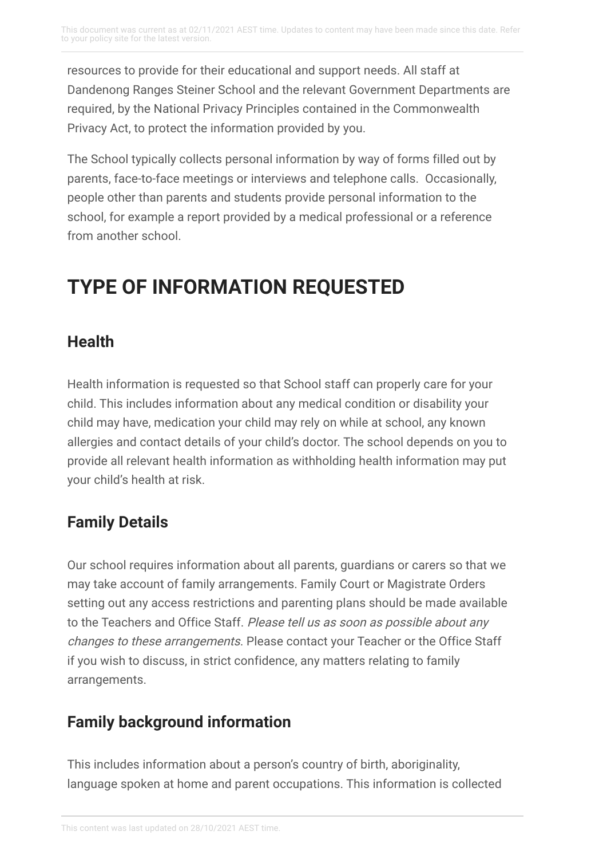resources to provide for their educational and support needs. All staff at Dandenong Ranges Steiner School and the relevant Government Departments are required, by the National Privacy Principles contained in the Commonwealth Privacy Act, to protect the information provided by you.

The School typically collects personal information by way of forms filled out by parents, face-to-face meetings or interviews and telephone calls. Occasionally, people other than parents and students provide personal information to the school, for example a report provided by a medical professional or a reference from another school.

## **TYPE OF INFORMATION REQUESTED**

### **Health**

Health information is requested so that School staff can properly care for your child. This includes information about any medical condition or disability your child may have, medication your child may rely on while at school, any known allergies and contact details of your child's doctor. The school depends on you to provide all relevant health information as withholding health information may put your child's health at risk.

### **Family Details**

Our school requires information about all parents, guardians or carers so that we may take account of family arrangements. Family Court or Magistrate Orders setting out any access restrictions and parenting plans should be made available to the Teachers and Office Staff. Please tell us as soon as possible about any changes to these arrangements. Please contact your Teacher or the Office Staff if you wish to discuss, in strict confidence, any matters relating to family arrangements.

### **Family background information**

This includes information about a person's country of birth, aboriginality, language spoken at home and parent occupations. This information is collected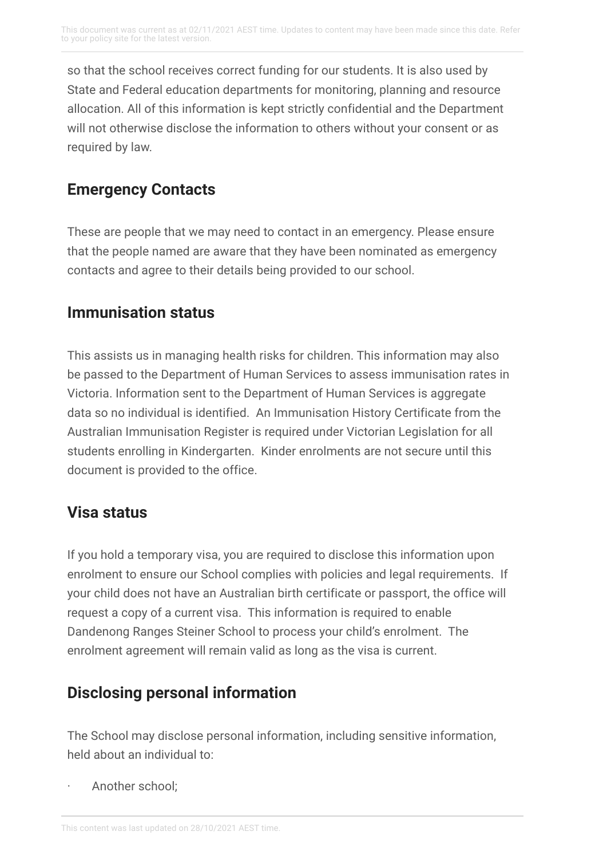so that the school receives correct funding for our students. It is also used by State and Federal education departments for monitoring, planning and resource allocation. All of this information is kept strictly confidential and the Department will not otherwise disclose the information to others without your consent or as required by law.

#### **Emergency Contacts**

These are people that we may need to contact in an emergency. Please ensure that the people named are aware that they have been nominated as emergency contacts and agree to their details being provided to our school.

#### **Immunisation status**

This assists us in managing health risks for children. This information may also be passed to the Department of Human Services to assess immunisation rates in Victoria. Information sent to the Department of Human Services is aggregate data so no individual is identified. An Immunisation History Certificate from the Australian Immunisation Register is required under Victorian Legislation for all students enrolling in Kindergarten. Kinder enrolments are not secure until this document is provided to the office.

### **Visa status**

If you hold a temporary visa, you are required to disclose this information upon enrolment to ensure our School complies with policies and legal requirements. If your child does not have an Australian birth certificate or passport, the office will request a copy of a current visa. This information is required to enable Dandenong Ranges Steiner School to process your child's enrolment. The enrolment agreement will remain valid as long as the visa is current.

### **Disclosing personal information**

The School may disclose personal information, including sensitive information, held about an individual to:

Another school: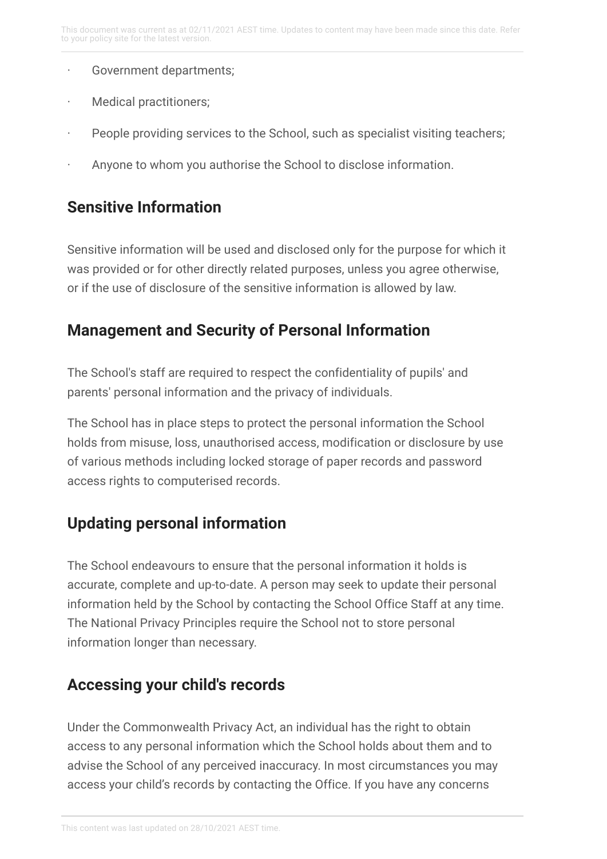- · Government departments;
- Medical practitioners;
- · People providing services to the School, such as specialist visiting teachers;
- Anyone to whom you authorise the School to disclose information.

#### **Sensitive Information**

Sensitive information will be used and disclosed only for the purpose for which it was provided or for other directly related purposes, unless you agree otherwise, or if the use of disclosure of the sensitive information is allowed by law.

#### **Management and Security of Personal Information**

The School's staff are required to respect the confidentiality of pupils' and parents' personal information and the privacy of individuals.

The School has in place steps to protect the personal information the School holds from misuse, loss, unauthorised access, modification or disclosure by use of various methods including locked storage of paper records and password access rights to computerised records.

### **Updating personal information**

The School endeavours to ensure that the personal information it holds is accurate, complete and up-to-date. A person may seek to update their personal information held by the School by contacting the School Office Staff at any time. The National Privacy Principles require the School not to store personal information longer than necessary.

### **Accessing your child's records**

Under the Commonwealth Privacy Act, an individual has the right to obtain access to any personal information which the School holds about them and to advise the School of any perceived inaccuracy. In most circumstances you may access your child's records by contacting the Office. If you have any concerns